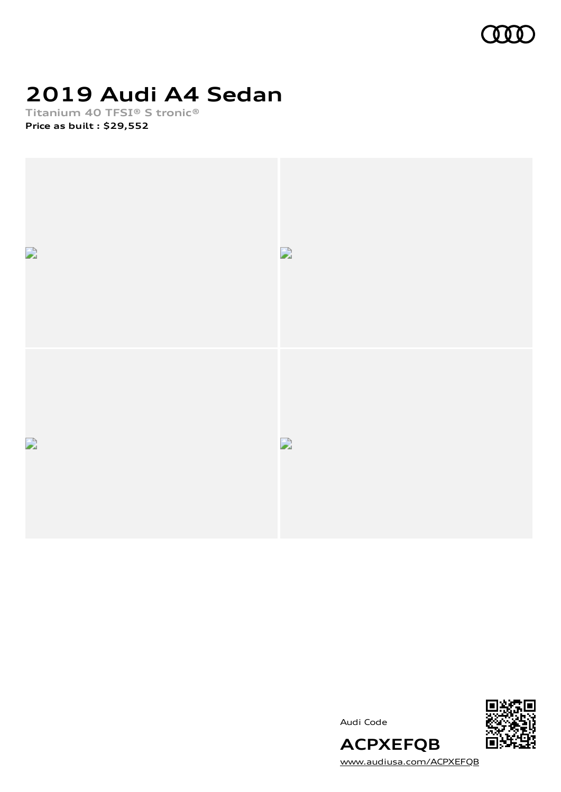

# **2019 Audi A4 Sedan**

**Titanium 40 TFSI® S tronic® Price as built [:](#page-8-0) \$29,552**



Audi Code



[www.audiusa.com/ACPXEFQB](https://www.audiusa.com/ACPXEFQB)

**ACPXEFQB**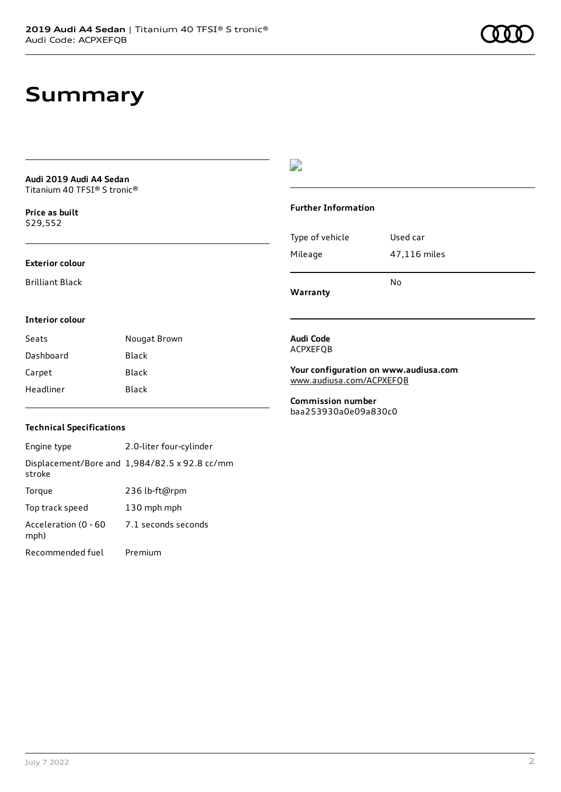# **Summary**

**Audi 2019 Audi A4 Sedan** Titanium 40 TFSI® S tronic®

**Price as buil[t](#page-8-0)** \$29,552

#### **Exterior colour**

Brilliant Black

### D

#### **Further Information**

|                 | N٥           |
|-----------------|--------------|
| Mileage         | 47,116 miles |
| Type of vehicle | Used car     |

**Warranty**

#### **Interior colour**

| Seats     | Nougat Brown |
|-----------|--------------|
| Dashboard | Black        |
| Carpet    | Black        |
| Headliner | Black        |

#### **Audi Code** ACPXEFQB

**Your configuration on www.audiusa.com** [www.audiusa.com/ACPXEFQB](https://www.audiusa.com/ACPXEFQB)

**Commission number** baa253930a0e09a830c0

### **Technical Specifications**

Engine type 2.0-liter four-cylinder Displacement/Bore and 1,984/82.5 x 92.8 cc/mm stroke Torque 236 lb-ft@rpm Top track speed 130 mph mph Acceleration (0 - 60 mph) 7.1 seconds seconds Recommended fuel Premium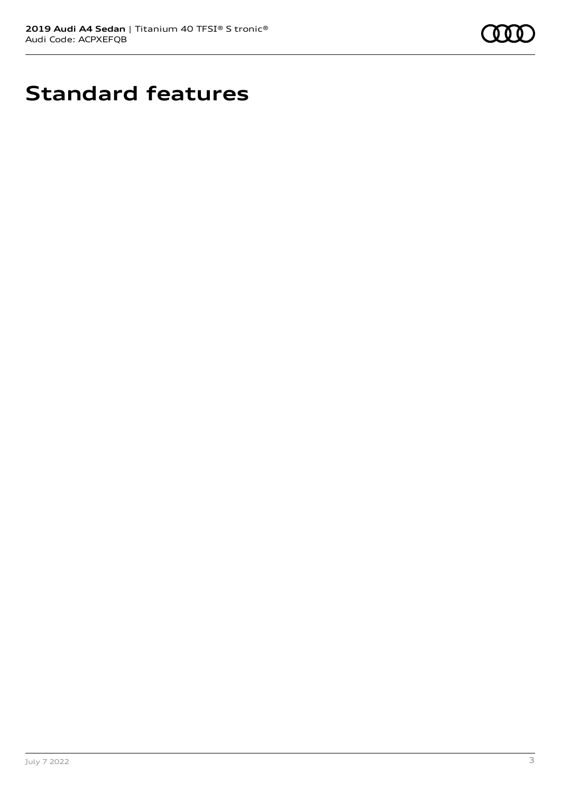

# **Standard features**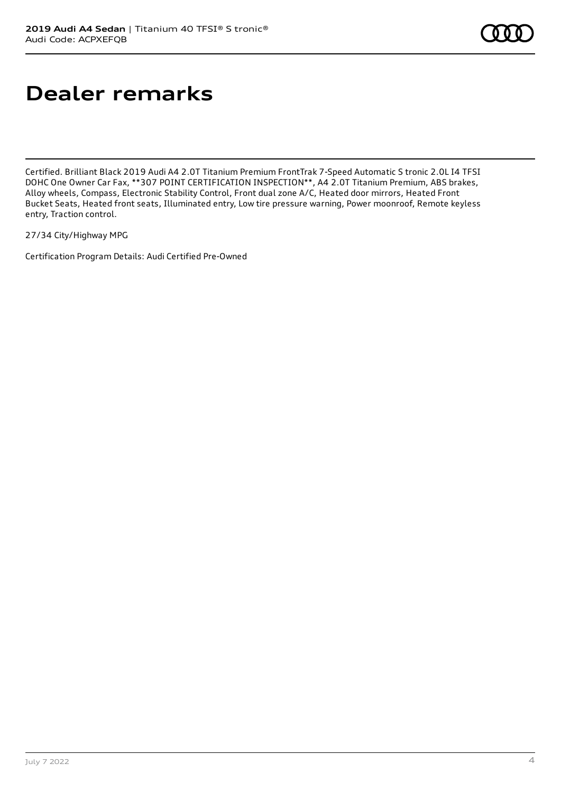# **Dealer remarks**

Certified. Brilliant Black 2019 Audi A4 2.0T Titanium Premium FrontTrak 7-Speed Automatic S tronic 2.0L I4 TFSI DOHC One Owner Car Fax, \*\*307 POINT CERTIFICATION INSPECTION\*\*, A4 2.0T Titanium Premium, ABS brakes, Alloy wheels, Compass, Electronic Stability Control, Front dual zone A/C, Heated door mirrors, Heated Front Bucket Seats, Heated front seats, Illuminated entry, Low tire pressure warning, Power moonroof, Remote keyless entry, Traction control.

27/34 City/Highway MPG

Certification Program Details: Audi Certified Pre-Owned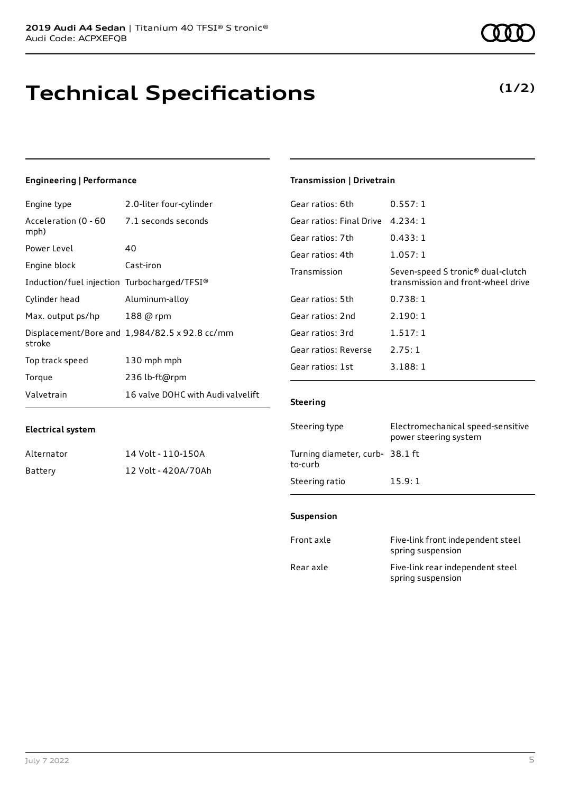# **Technical Specifications**

### **Engineering | Performance**

| Engine type                                 | 2.0-liter four-cylinder                       |
|---------------------------------------------|-----------------------------------------------|
| Acceleration (0 - 60<br>mph)                | 7.1 seconds seconds                           |
| Power Level                                 | 40                                            |
| Engine block                                | Cast-iron                                     |
| Induction/fuel injection Turbocharged/TFSI® |                                               |
| Cylinder head                               | Aluminum-alloy                                |
| Max. output ps/hp                           | 188 @ rpm                                     |
| stroke                                      | Displacement/Bore and 1,984/82.5 x 92.8 cc/mm |
| Top track speed                             | 130 mph mph                                   |
| Torque                                      | 236 lb-ft@rpm                                 |
| Valvetrain                                  | 16 valve DOHC with Audi valvelift             |

### **Transmission | Drivetrain**

| Gear ratios: 6th         | 0.557:1                                                                             |
|--------------------------|-------------------------------------------------------------------------------------|
| Gear ratios: Final Drive | 4.234:1                                                                             |
| Gear ratios: 7th         | 0.433:1                                                                             |
| Gear ratios: 4th         | 1.057:1                                                                             |
| Transmission             | Seven-speed S tronic <sup>®</sup> dual-clutch<br>transmission and front-wheel drive |
| Gear ratios: 5th         | 0.738:1                                                                             |
| Gear ratios: 2nd         | 2.190:1                                                                             |
| Gear ratios: 3rd         | 1.517:1                                                                             |
| Gear ratios: Reverse     | 2.75:1                                                                              |
| Gear ratios: 1st         | 3.188:1                                                                             |
|                          |                                                                                     |

#### **Steering**

| Steering type                             | Electromechanical speed-sensitive<br>power steering system |
|-------------------------------------------|------------------------------------------------------------|
| Turning diameter, curb-38.1 ft<br>to-curb |                                                            |
| Steering ratio                            | 15.9:1                                                     |

#### **Suspension**

| Front axle | Five-link front independent steel<br>spring suspension |
|------------|--------------------------------------------------------|
| Rear axle  | Five-link rear independent steel<br>spring suspension  |

Alternator 14 Volt - 110-150A Battery 12 Volt - 420A/70Ah



### **(1/2)**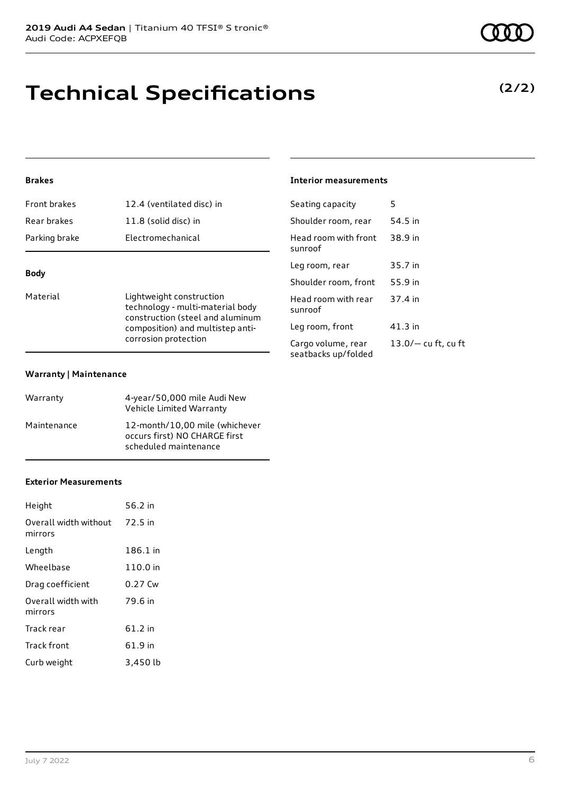# **Technical Specifications**

### **Brakes**

| <b>Front brakes</b> | 12.4 (ventilated disc) in |
|---------------------|---------------------------|
| Rear brakes         | 11.8 (solid disc) in      |
| Parking brake       | Electromechanical         |
|                     |                           |

### **Body**

Material **Lightweight construction** technology - multi-material body construction (steel and aluminum composition) and multistep anticorrosion protection

#### **Warranty | Maintenance**

| Warranty    | 4-year/50,000 mile Audi New<br>Vehicle Limited Warranty                                  |
|-------------|------------------------------------------------------------------------------------------|
| Maintenance | 12-month/10.00 mile (whichever<br>occurs first) NO CHARGE first<br>scheduled maintenance |

#### **Exterior Measurements**

| Height                           | 56.2 in  |
|----------------------------------|----------|
| Overall width without<br>mirrors | 72.5 in  |
| Length                           | 186.1 in |
| Wheelbase                        | 110.0 in |
| Drag coefficient                 | 0.27 Cw  |
| Overall width with<br>mirrors    | 79.6 in  |
| Track rear                       | 61.2 in  |
| Track front                      | 61.9 in  |
| Curb weight                      | 3,450 lb |

### **Interior measurements**

| Seating capacity                          | 5                   |
|-------------------------------------------|---------------------|
| Shoulder room, rear                       | 54.5 in             |
| Head room with front<br>sunroof           | 38.9 in             |
| Leg room, rear                            | 35.7 in             |
| Shoulder room, front                      | 55.9 in             |
| Head room with rear<br>sunroof            | 37.4 in             |
| Leg room, front                           | 41.3 in             |
| Cargo volume, rear<br>seatbacks up/folded | 13.0/— cu ft, cu ft |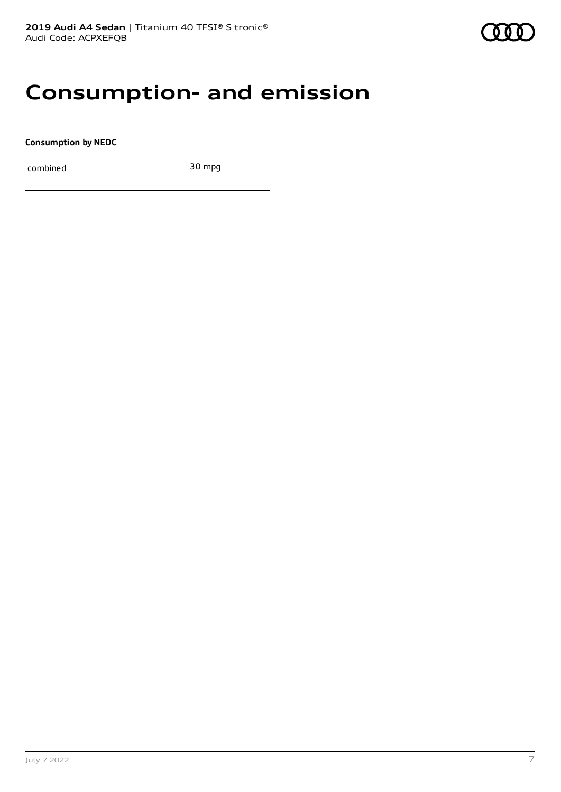### **Consumption- and emission**

**Consumption by NEDC**

combined 30 mpg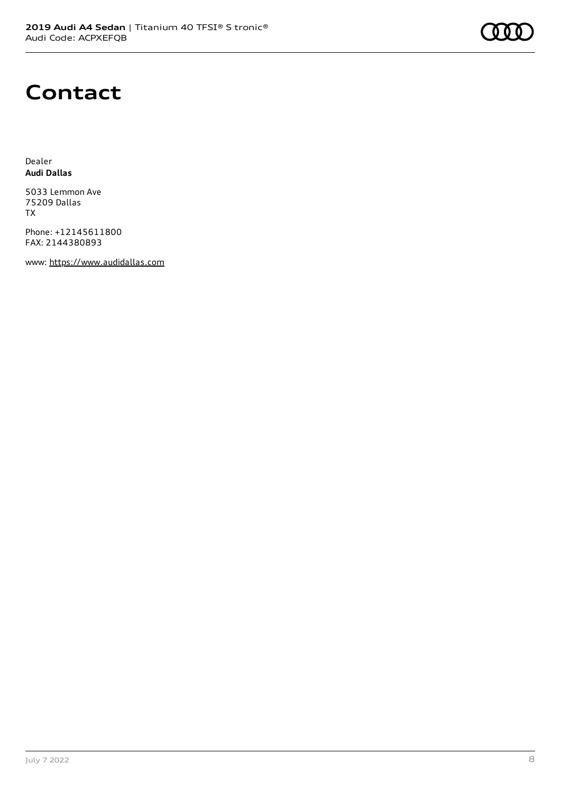

# **Contact**

Dealer **Audi Dallas**

5033 Lemmon Ave 75209 Dallas TX

Phone: +12145611800 FAX: 2144380893

www: [https://www.audidallas.com](https://www.audidallas.com/)